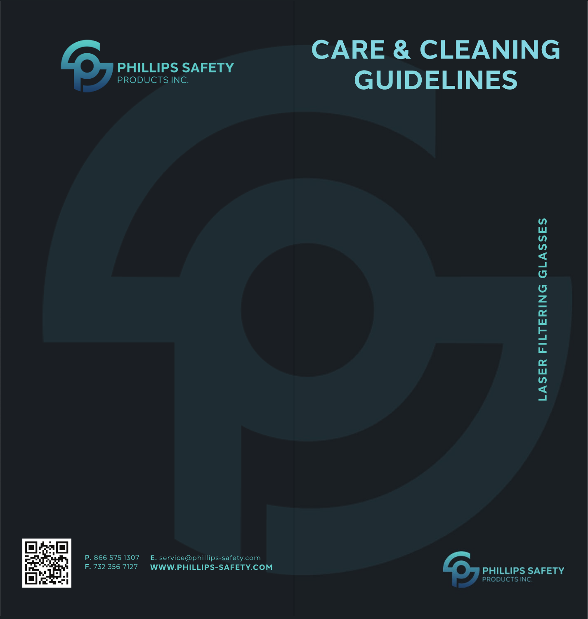

# **CARE & CLEANING GUIDELINES**



P. 866 575 1307 F. 732 356 7127

E. service@phillips-safety.com WWW.PHILLIPS-SAFETY.COM

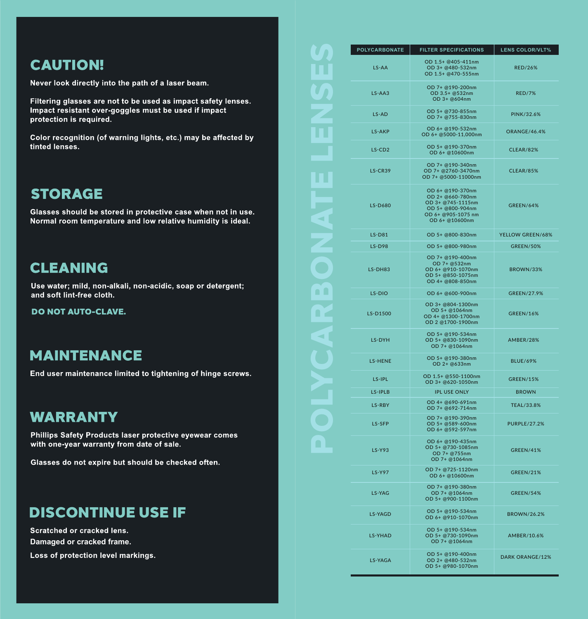# **CAUTION!**

Never look directly into the path of a laser beam.

Filtering glasses are not to be used as impact safety lenses. Impact resistant over-goggles must be used if impact protection is required.

Color recognition (of warning lights, etc.) may be affected by tinted lenses.

# **STORAGE**

Glasses should be stored in protective case when not in use. Normal room temperature and low relative humidity is ideal.

# **CLEANING**

Use water; mild, non-alkali, non-acidic, soap or detergent; and soft lint-free cloth.

**DO NOT AUTO-CLAVE.** 

# **MAINTENANCE**

End user maintenance limited to tightening of hinge screws.

# **WARRANTY**

Phillips Safety Products laser protective eyewear comes with one-year warranty from date of sale.

Glasses do not expire but should be checked often.

## **DISCONTINUE USE IF**

Scratched or cracked lens. Damaged or cracked frame. Loss of protection level markings.

| <b>POLYCARBONATE</b> | <b>FILTER SPECIFICATIONS</b>                                                                                          | <b>LENS COLOR/VLT%</b> |
|----------------------|-----------------------------------------------------------------------------------------------------------------------|------------------------|
| LS-AA                | OD 1.5+ @405-411nm<br>OD 3+ @480-532nm<br>OD 1.5+ @470-555nm                                                          | <b>RED/26%</b>         |
| LS-AA3               | OD 7+ @190-200nm<br>OD 3.5+ @532nm<br>OD 3+ @604nm                                                                    | <b>RED/7%</b>          |
| LS-AD                | OD 5+ @730-855nm<br>OD 7+ @755-830nm                                                                                  | PINK/32.6%             |
| LS-AKP               | OD 6+ @190-532nm<br>OD 6+ @5000-11,000nm                                                                              | <b>ORANGE/46.4%</b>    |
| LS-CD <sub>2</sub>   | OD 5+ @190-370nm<br>OD 6+ @10600nm                                                                                    | <b>CLEAR/82%</b>       |
| LS-CR39              | OD 7+ @190-340nm<br>OD 7+ @2760-3470nm<br>OD 7+ @5000-11000nm                                                         | <b>CLEAR/85%</b>       |
| <b>LS-D680</b>       | OD 6+ @190-370nm<br>OD 2+ @660-780nm<br>OD 3+ @745-1115nm<br>OD 5+ @800-904nm<br>OD 6+ @905-1075 nm<br>OD 6+ @10600nm | <b>GREEN/64%</b>       |
| $LS-DB1$             | OD 5+ @800-830nm                                                                                                      | YELLOW GREEN/68%       |
| $IS-D98$             | OD 5+ @800-980nm                                                                                                      | <b>GREEN/50%</b>       |
| LS-DH83              | OD 7+ @190-400nm<br>OD 7+ @532nm<br>OD 6+ @910-1070nm<br>OD 5+ @850-1075nm<br>OD 4+ @808-850nm                        | <b>BROWN/33%</b>       |
| $LS-DIO$             | OD 6+ @600-900nm                                                                                                      | <b>GREEN/27.9%</b>     |
| LS-D1500             | OD 3+ @804-1300nm<br>OD 5+ @1064nm<br>OD 4+ @1300-1700nm<br>OD 2 @1700-1900nm                                         | <b>GREEN/16%</b>       |
| LS-DYH               | OD 5+ @190-534nm<br>OD 5+ @830-1090nm<br>OD 7+ @1064nm                                                                | <b>AMBER/28%</b>       |
| <b>LS-HENE</b>       | OD 5+ @190-380nm<br>OD 2+ @633nm                                                                                      | <b>BLUE/69%</b>        |
| LS-IPL               | OD 1.5+ @550-1100nm<br>OD 3+ @620-1050nm                                                                              | <b>GREEN/15%</b>       |
| LS-IPLB              | <b>IPL USE ONLY</b>                                                                                                   | <b>BROWN</b>           |
| LS-RBY               | OD 4+ @690-691nm<br>OD 7+ @692-714nm                                                                                  | TEAL/33.8%             |
| LS-SFP               | OD 7+ @190-390nm<br>OD 5+ @589-600nm<br>OD 6+ @592-597nm                                                              | <b>PURPLE/27.2%</b>    |
| <b>LS-Y93</b>        | OD 6+ @190-435nm<br>OD 5+ @730-1085nm<br>OD 7+ @755nm<br>OD 7+ @1064nm                                                | <b>GREEN/41%</b>       |
| <b>LS-Y97</b>        | OD 7+ @725-1120nm<br>OD 6+ @10600nm                                                                                   | <b>GREEN/21%</b>       |
| LS-YAG               | OD 7+ @190-380nm<br>OD 7+ @1064nm<br>OD 5+ @900-1100nm                                                                | <b>GREEN/54%</b>       |
| <b>LS-YAGD</b>       | OD 5+ @190-534nm<br>OD 6+ @910-1070nm                                                                                 | <b>BROWN/26.2%</b>     |
| <b>LS-YHAD</b>       | OD 5+ @190-534nm<br>OD 5+ @730-1090nm<br>OD 7+ @1064nm                                                                | AMBER/10.6%            |
| <b>LS-YAGA</b>       | OD 5+ @190-400nm<br>OD 2+ @480-532nm<br>OD 5+ @980-1070nm                                                             | <b>DARK ORANGE/12%</b> |